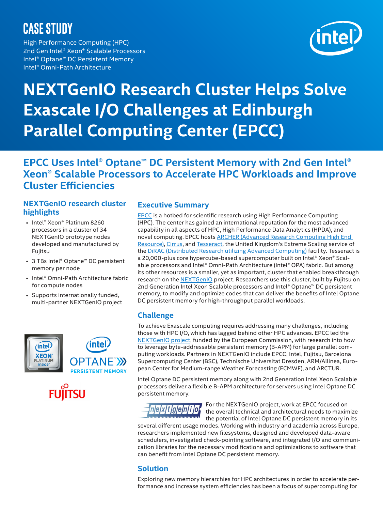## **CASE STUDY**

High Performance Computing (HPC) 2nd Gen Intel® Xeon® Scalable Processors Intel® Optane™ DC Persistent Memory Intel® Omni-Path Architecture



# **NEXTGenIO Research Cluster Helps Solve Exascale I/O Challenges at Edinburgh Parallel Computing Center (EPCC)**

### **EPCC Uses Intel® Optane™ DC Persistent Memory with 2nd Gen Intel® Xeon® Scalable Processors to Accelerate HPC Workloads and Improve Cluster Efficiencies**

#### **NEXTGenIO research cluster highlights**

- Intel® Xeon® Platinum 8260 processors in a cluster of 34 NEXTGenIO prototype nodes developed and manufactured by Fujitsu
- 3 TBs Intel® Optane™ DC persistent memory per node
- Intel® Omni-Path Architecture fabric for compute nodes
- Supports internationally funded, multi-partner NEXTGenIO project



#### **Executive Summary**

**[EPCC](https://www.epcc.ed.ac.uk/)** is a hotbed for scientific research using High Performance Computing (HPC). The center has gained an international reputation for the most advanced capability in all aspects of HPC, High Performance Data Analytics (HPDA), and novel computing. EPCC hosts [ARCHER \(Advanced Research Computing High End](https://www.epcc.ed.ac.uk/facilities/demand-computing/archer)  [Resource\)](https://www.epcc.ed.ac.uk/facilities/demand-computing/archer), [Cirrus](https://www.epcc.ed.ac.uk/facilities/demand-computing/cirrus), and [Tesseract](https://www.epcc.ed.ac.uk/facilities/dirac), the United Kingdom's Extreme Scaling service of the [DiRAC \(Distributed Research utilizing Advanced Computing\)](https://dirac.ac.uk/) facility. Tesseract is a 20,000-plus core hypercube-based supercomputer built on Intel® Xeon® Scalable processors and Intel® Omni-Path Architecture (Intel® OPA) fabric. But among its other resources is a smaller, yet as important, cluster that enabled breakthrough research on the [NEXTGenIO](http://www.nextgenio.eu/) project. Researchers use this cluster, built by Fujitsu on 2nd Generation Intel Xeon Scalable processors and Intel® Optane™ DC persistent memory, to modify and optimize codes that can deliver the benefits of Intel Optane DC persistent memory for high-throughput parallel workloads.

#### **Challenge**

To achieve Exascale computing requires addressing many challenges, including those with HPC I/O, which has lagged behind other HPC advances. EPCC led the [NEXTGenIO project](http://www.nextgenio.eu/), funded by the European Commission, with research into how to leverage byte-addressable persistent memory (B-APM) for large parallel computing workloads. Partners in NEXTGenIO include EPCC, [Intel](https://www.intel.com/content/www/us/en/homepage.html), [Fujitsu](https://ts.fujitsu.com/ps2/hpc/hpc/user/index.aspx), [Barcelona](https://www.bsc.es/)  [Supercomputing Center \(BSC\),](https://www.bsc.es/) [Technische Universitat Dresden](https://tu-dresden.de/), ARM/Allinea, [Euro](https://www.ecmwf.int/)[pean Center for Medium-range Weather Forecasting \(ECMWF\)](https://www.ecmwf.int/), and [ARCTUR.](https://www.arctur.si/)

Intel Optane DC persistent memory along with 2nd Generation Intel Xeon Scalable processors deliver a flexible B-APM architecture for servers using Intel Optane DC persistent memory.



For the NEXTGenIO project, work at EPCC focused on the overall technical and architectural needs to maximize the potential of Intel Optane DC persistent memory in its

several different usage modes. Working with industry and academia across Europe, researchers implemented new filesystems, designed and developed data-aware schedulers, investigated check-pointing software, and integrated I/O and communication libraries for the necessary modifications and optimizations to software that can benefit from Intel Optane DC persistent memory.

#### **Solution**

Exploring new memory hierarchies for HPC architectures in order to accelerate performance and increase system efficiencies has been a focus of supercomputing for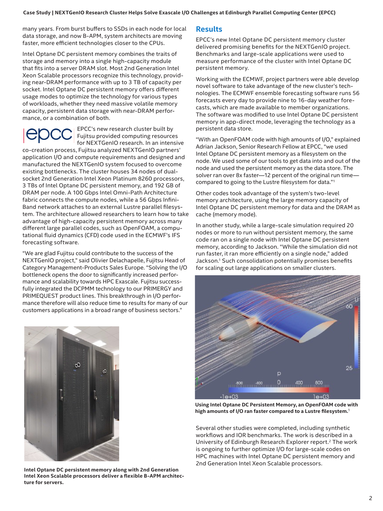many years. From burst buffers to SSDs in each node for local data storage, and now B-APM, system architects are moving faster, more efficient technologies closer to the CPUs.

Intel Optane DC persistent memory combines the traits of storage and memory into a single high-capacity module that fits into a server DRAM slot. Most 2nd Generation Intel Xeon Scalable processors recognize this technology, providing near-DRAM performance with up to 3 TB of capacity per socket. Intel Optane DC persistent memory offers different usage modes to optimize the technology for various types of workloads, whether they need massive volatile memory capacity, persistent data storage with near-DRAM performance, or a combination of both.

EPCC's new research cluster built by Fujitsu provided computing resources for NEXTGenIO research. In an intensive

co-creation process, Fujitsu analyzed NEXTGenIO partners' application I/O and compute requirements and designed and manufactured the NEXTGenIO system focused to overcome existing bottlenecks. The cluster houses 34 nodes of dualsocket 2nd Generation Intel Xeon Platinum 8260 processors, 3 TBs of Intel Optane DC persistent memory, and 192 GB of DRAM per node. A 100 Gbps Intel Omni-Path Architecture fabric connects the compute nodes, while a 56 Gbps Infini-Band network attaches to an external Lustre parallel filesystem. The architecture allowed researchers to learn how to take advantage of high-capacity persistent memory across many different large parallel codes, such as OpenFOAM, a computational fluid dynamics (CFD) code used in the ECMWF's IFS forecasting software.

"We are glad Fujitsu could contribute to the success of the NEXTGenIO project," said Olivier Delachapelle, Fujitsu Head of Category Management-Products Sales Europe. "Solving the I/O bottleneck opens the door to significantly increased performance and scalability towards HPC Exascale. Fujitsu successfully integrated the DCPMM technology to our PRIMERGY and PRIMEQUEST product lines. This breakthrough in I/O performance therefore will also reduce time to results for many of our customers applications in a broad range of business sectors."



**Intel Optane DC persistent memory along with 2nd Generation Intel Xeon Scalable processors deliver a flexible B-APM architecture for servers.**

#### **Results**

EPCC's new Intel Optane DC persistent memory cluster delivered promising benefits for the NEXTGenIO project. Benchmarks and large-scale applications were used to measure performance of the cluster with Intel Optane DC persistent memory.

Working with the ECMWF, project partners were able develop novel software to take advantage of the new cluster's technologies. The ECMWF ensemble forecasting software runs 56 forecasts every day to provide nine to 16-day weather forecasts, which are made available to member organizations. The software was modified to use Intel Optane DC persistent memory in app-direct mode, leveraging the technology as a persistent data store.

"With an OpenFOAM code with high amounts of I/O," explained Adrian Jackson, Senior Research Fellow at EPCC, "we used Intel Optane DC persistent memory as a filesystem on the node. We used some of our tools to get data into and out of the node and used the persistent memory as the data store. The solver ran over 8x faster—12 percent of the original run time compared to going to the Lustre filesystem for data."<sup>1</sup>

Other codes took advantage of the system's two-level memory architecture, using the large memory capacity of Intel Optane DC persistent memory for data and the DRAM as cache (memory mode).

In another study, while a large-scale simulation required 20 nodes or more to run without persistent memory, the same code ran on a single node with Intel Optane DC persistent memory, according to Jackson. "While the simulation did not run faster, it ran more efficiently on a single node," added Jackson.1 Such consolidation potentially promises benefits for scaling out large applications on smaller clusters.



**Using Intel Optane DC Persistent Memory, an OpenFOAM code with high amounts of I/O ran faster compared to a Lustre filesystem.**<sup>1</sup>

Several other studies were completed, including synthetic workflows and IOR benchmarks. The work is described in a University of Edinburgh Research Explorer report.2 The work is ongoing to further optimize I/O for large-scale codes on HPC machines with Intel Optane DC persistent memory and 2nd Generation Intel Xeon Scalable processors.